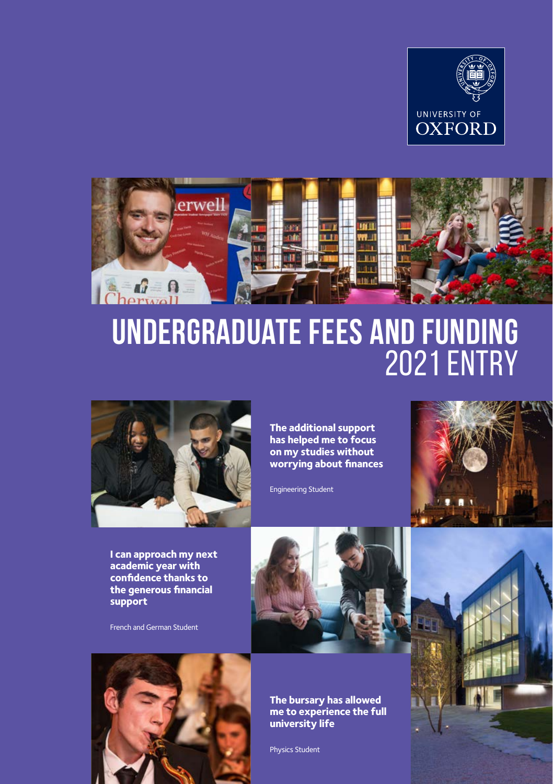



# **Undergraduate Fees and Funding** 2021 entry



**The additional support has helped me to focus on my studies without worrying about finances**

Engineering Student



**I can approach my next academic year with confidence thanks to the generous financial support**

French and German Student



**The bursary has allowed me to experience the full university life**

Physics Student



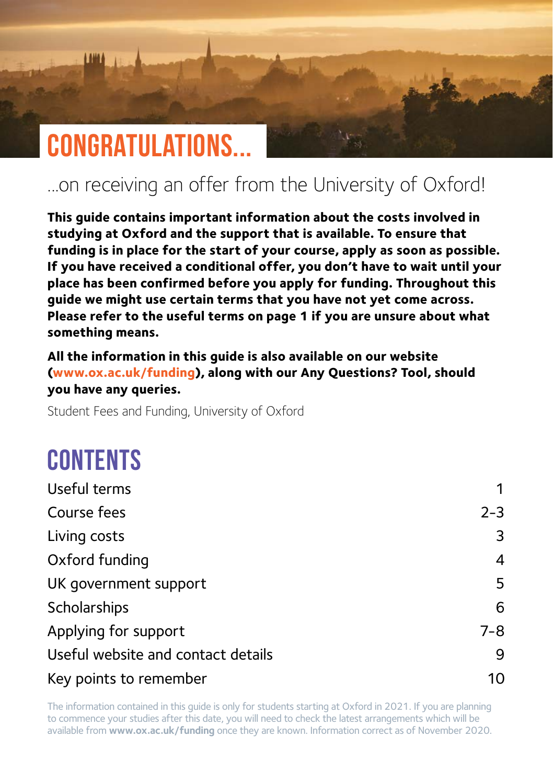## **Congratulations...**

### ...on receiving an offer from the University of Oxford!

**This guide contains important information about the costs involved in studying at Oxford and the support that is available. To ensure that funding is in place for the start of your course, apply as soon as possible. If you have received a conditional offer, you don't have to wait until your place has been confirmed before you apply for funding. Throughout this guide we might use certain terms that you have not yet come across. Please refer to the useful terms on page 1 if you are unsure about what something means.**

**All the information in this guide is also available on our website [\(www.ox.ac.uk/funding\)](http://www.ox.ac.uk/funding), along with our Any Questions? Tool, should you have any queries.**

Student Fees and Funding, University of Oxford

## **Contents**

| 1       |
|---------|
| $2 - 3$ |
| 3       |
| 4       |
| 5       |
| 6       |
| $7 - 8$ |
| 9       |
| 10      |
|         |

The information contained in this guide is only for students starting at Oxford in 2021. If you are planning to commence your studies after this date, you will need to check the latest arrangements which will be available from **[www.ox.ac.uk/funding](http://www.ox.ac.uk/funding)** once they are known. Information correct as of November 2020.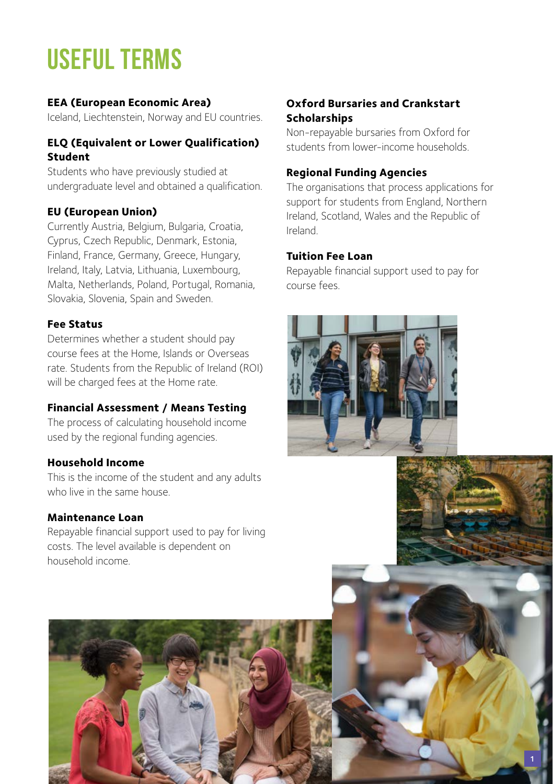## <span id="page-2-0"></span>**Useful Terms**

#### **EEA (European Economic Area)**

Iceland, Liechtenstein, Norway and EU countries.

#### **ELQ (Equivalent or Lower Qualification) Student**

Students who have previously studied at undergraduate level and obtained a qualification.

#### **EU (European Union)**

Currently Austria, Belgium, Bulgaria, Croatia, Cyprus, Czech Republic, Denmark, Estonia, Finland, France, Germany, Greece, Hungary, Ireland, Italy, Latvia, Lithuania, Luxembourg, Malta, Netherlands, Poland, Portugal, Romania, Slovakia, Slovenia, Spain and Sweden.

#### **Fee Status**

Determines whether a student should pay course fees at the Home, Islands or Overseas rate. Students from the Republic of Ireland (ROI) will be charged fees at the Home rate.

#### **Financial Assessment / Means Testing**

The process of calculating household income used by the regional funding agencies.

#### **Household Income**

This is the income of the student and any adults who live in the same house.

#### **Maintenance Loan**

Repayable financial support used to pay for living costs. The level available is dependent on household income.

#### **Oxford Bursaries and Crankstart Scholarships**

Non-repayable bursaries from Oxford for students from lower-income households.

#### **Regional Funding Agencies**

The organisations that process applications for support for students from England, Northern Ireland, Scotland, Wales and the Republic of Ireland.

#### **Tuition Fee Loan**

Repayable financial support used to pay for course fees.



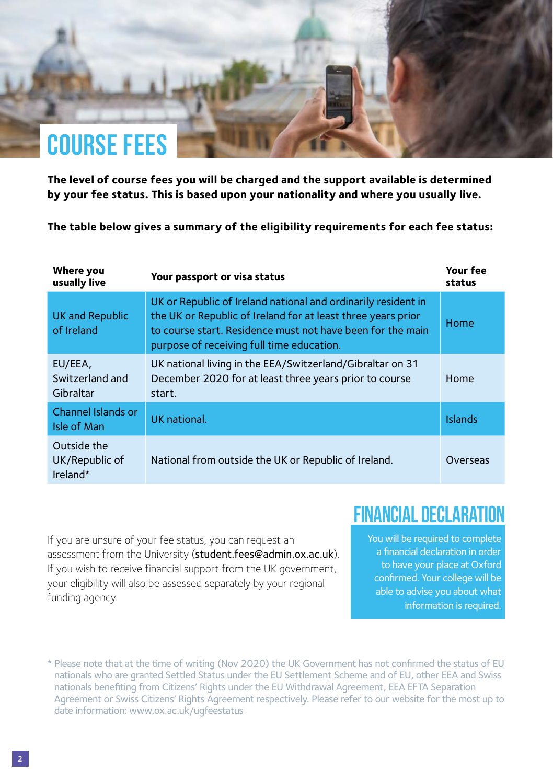## <span id="page-3-0"></span>**COURSE Fees**

**The level of course fees you will be charged and the support available is determined by your fee status. This is based upon your nationality and where you usually live.**

**The table below gives a summary of the eligibility requirements for each fee status:**

| Where you<br>usually live                 | Your passport or visa status                                                                                                                                                                                                             | Your fee<br>status |
|-------------------------------------------|------------------------------------------------------------------------------------------------------------------------------------------------------------------------------------------------------------------------------------------|--------------------|
| UK and Republic<br>of Ireland             | UK or Republic of Ireland national and ordinarily resident in<br>the UK or Republic of Ireland for at least three years prior<br>to course start. Residence must not have been for the main<br>purpose of receiving full time education. | Home               |
| EU/EEA,<br>Switzerland and<br>Gibraltar   | UK national living in the EEA/Switzerland/Gibraltar on 31<br>December 2020 for at least three years prior to course<br>start.                                                                                                            | Home               |
| Channel Islands or<br>Isle of Man         | UK national.                                                                                                                                                                                                                             | <b>Islands</b>     |
| Outside the<br>UK/Republic of<br>Ireland* | National from outside the UK or Republic of Ireland.                                                                                                                                                                                     | Overseas           |

**FINANCIAL DECLARATION**

If you are unsure of your fee status, you can request an assessment from the University ([student.fees@admin.ox.ac.uk](mailto:student.fees%40admin.ox.ac.uk?subject=)). If you wish to receive financial support from the UK government, your eligibility will also be assessed separately by your regional funding agency.

You will be required to complete a financial declaration in order to have your place at Oxford confirmed. Your college will be able to advise you about what information is required.

<sup>\*</sup> Please note that at the time of writing (Nov 2020) the UK Government has not confirmed the status of EU nationals who are granted Settled Status under the EU Settlement Scheme and of EU, other EEA and Swiss nationals benefiting from Citizens' Rights under the EU Withdrawal Agreement, EEA EFTA Separation Agreement or Swiss Citizens' Rights Agreement respectively. Please refer to our website for the most up to date information: [www.ox.ac.uk/ugfeestatus](http://www.ox.ac.uk/ugfeestatus)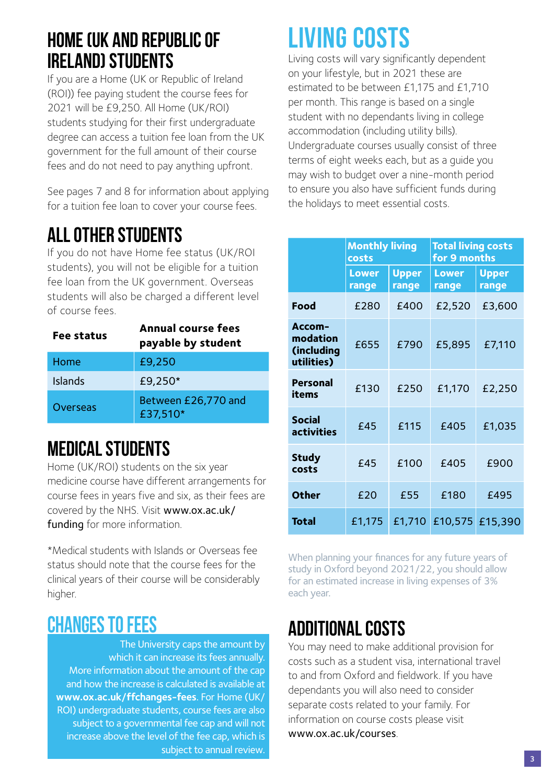### <span id="page-4-0"></span>**HOME (UK AND REPUBLIC OF IRELAND) STUDENTS**

If you are a Home (UK or Republic of Ireland (ROI)) fee paying student the course fees for 2021 will be £9,250. All Home (UK/ROI) students studying for their first undergraduate degree can access a tuition fee loan from the UK government for the full amount of their course fees and do not need to pay anything upfront.

See pages 7 and 8 for information about applying for a tuition fee loan to cover your course fees.

### **ALL OTHER STUDENTS**

If you do not have Home fee status (UK/ROI students), you will not be eligible for a tuition fee loan from the UK government. Overseas students will also be charged a different level of course fees.

| Fee status | Annual course fees<br>payable by student |
|------------|------------------------------------------|
| Home       | £9,250                                   |
| Islands    | £9.250*                                  |
| Overseas   | Between £26,770 and<br>£37,510*          |

### **MEDICAL STUDENTS**

Home (UK/ROI) students on the six year medicine course have different arrangements for course fees in years five and six, as their fees are covered by the NHS. Visit [www.ox.ac.uk/](http://www.ox.ac.uk/funding)  [funding](http://www.ox.ac.uk/funding) for more information.

\*Medical students with Islands or Overseas fee status should note that the course fees for the clinical years of their course will be considerably higher.

### **CHANGES TO FEES**

The University caps the amount by which it can increase its fees annually. More information about the amount of the cap and how the increase is calculated is available at **[www.ox.ac.uk/ffchanges-fees](http://www.ox.ac.uk/ffchanges-fees)**. For Home (UK/ ROI) undergraduate students, course fees are also subject to a governmental fee cap and will not increase above the level of the fee cap, which is subject to annual review.

## **Living Costs**

Living costs will vary significantly dependent on your lifestyle, but in 2021 these are estimated to be between £1,175 and £1,710 per month. This range is based on a single student with no dependants living in college accommodation (including utility bills). Undergraduate courses usually consist of three terms of eight weeks each, but as a guide you may wish to budget over a nine-month period to ensure you also have sufficient funds during the holidays to meet essential costs.

|                                                | <b>Monthly living</b><br>costs |                       | <b>Total living costs</b><br>for 9 months |                       |
|------------------------------------------------|--------------------------------|-----------------------|-------------------------------------------|-----------------------|
|                                                | <b>Lower</b><br>range          | <b>Upper</b><br>range | Lower<br>range                            | <b>Upper</b><br>range |
| Food                                           | £280                           | £400                  | £2,520                                    | £3,600                |
| Accom-<br>modation<br>(including<br>utilities) | £655                           | £790                  | £5,895                                    | £7,110                |
| <b>Personal</b><br>items                       | £130                           | £250                  | £1,170                                    | £2,250                |
| <b>Social</b><br><b>activities</b>             | £45                            | £115                  | £405                                      | £1,035                |
| <b>Study</b><br>costs                          | £45                            | £100                  | £405                                      | £900                  |
| Other                                          | £20                            | £55                   | £180                                      | £495                  |
| Total                                          | £1.175                         | £1,710                |                                           | £10,575 £15,390       |

When planning your finances for any future years of study in Oxford beyond 2021/22, you should allow for an estimated increase in living expenses of 3% each year.

### **ADDITIONAL COSTS**

You may need to make additional provision for costs such as a student visa, international travel to and from Oxford and fieldwork. If you have dependants you will also need to consider separate costs related to your family. For information on course costs please visit [www.ox.ac.uk/courses](http://www.ox.ac.uk/courses).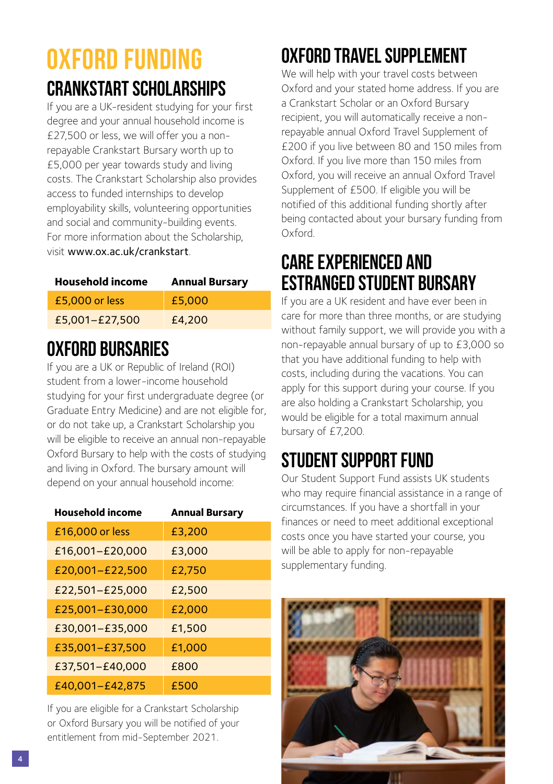### <span id="page-5-0"></span>**oxford funding CRANKSTART SCHOLARSHIPS**

If you are a UK-resident studying for your first degree and your annual household income is £27,500 or less, we will offer you a nonrepayable Crankstart Bursary worth up to £5,000 per year towards study and living costs. The Crankstart Scholarship also provides access to funded internships to develop employability skills, volunteering opportunities and social and community-building events. For more information about the Scholarship, visit [www.ox.ac.uk/crankstart](http://www.ox.ac.uk/crankstart).

| <b>Household income</b> | <b>Annual Bursary</b> |
|-------------------------|-----------------------|
| £5.000 or less          | £5,000                |
| £5,001-£27,500          | £4.200                |

### **OXFORD BURSARIES**

If you are a UK or Republic of Ireland (ROI) student from a lower-income household studying for your first undergraduate degree (or Graduate Entry Medicine) and are not eligible for, or do not take up, a Crankstart Scholarship you will be eligible to receive an annual non-repayable Oxford Bursary to help with the costs of studying and living in Oxford. The bursary amount will depend on your annual household income:

| <b>Household income</b> | <b>Annual Bursary</b> |
|-------------------------|-----------------------|
| £16,000 or less         | £3.200                |
| £16,001-£20,000         | £3.000                |
| £20,001-£22,500         | £2.750                |
| £22,501-£25,000         | £2.500                |
| £25,001-£30,000         | £2,000                |
| £30,001-£35,000         | £1.500                |
| £35,001-£37,500         | £1.000                |
| £37,501-£40,000         | £800                  |
| £40,001-£42,875         | £500                  |

If you are eligible for a Crankstart Scholarship or Oxford Bursary you will be notified of your entitlement from mid-September 2021.

## **OXFORD TRAVELSUPPLEMENT**

We will help with your travel costs between Oxford and your stated home address. If you are a Crankstart Scholar or an Oxford Bursary recipient, you will automatically receive a nonrepayable annual Oxford Travel Supplement of £200 if you live between 80 and 150 miles from Oxford. If you live more than 150 miles from Oxford, you will receive an annual Oxford Travel Supplement of £500. If eligible you will be notified of this additional funding shortly after being contacted about your bursary funding from Oxford.

### **CAREEXPERIENCED AND ESTRANGED STUDENT BURSARY**

If you are a UK resident and have ever been in care for more than three months, or are studying without family support, we will provide you with a non-repayable annual bursary of up to £3,000 so that you have additional funding to help with costs, including during the vacations. You can apply for this support during your course. If you are also holding a Crankstart Scholarship, you would be eligible for a total maximum annual bursary of £7,200.

### **STUDENT SUPPORT FUND**

Our Student Support Fund assists UK students who may require financial assistance in a range of circumstances. If you have a shortfall in your finances or need to meet additional exceptional costs once you have started your course, you will be able to apply for non-repayable supplementary funding.

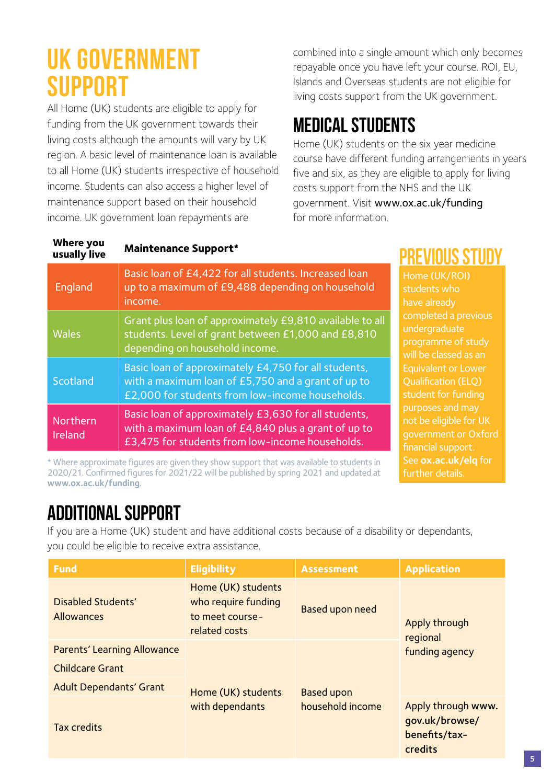## <span id="page-6-0"></span>**UK GOVERNMENT support**

All Home (UK) students are eligible to apply for funding from the UK government towards their living costs although the amounts will vary by UK region. A basic level of maintenance loan is available to all Home (UK) students irrespective of household income. Students can also access a higher level of maintenance support based on their household income. UK government loan repayments are

combined into a single amount which only becomes repayable once you have left your course. ROI, EU, Islands and Overseas students are not eligible for living costs support from the UK government.

### **MEDICAL STUDENTS**

Home (UK) students on the six year medicine course have different funding arrangements in years five and six, as they are eligible to apply for living costs support from the NHS and the UK government. Visit [www.ox.ac.uk/funding](http://www.ox.ac.uk/funding) for more information.

further details.

| <b>Where you</b><br>usually live | <b>Maintenance Support*</b>                                                                                                                                    | PKEVIUUS STUDV                                                                                                                                                          |
|----------------------------------|----------------------------------------------------------------------------------------------------------------------------------------------------------------|-------------------------------------------------------------------------------------------------------------------------------------------------------------------------|
| England                          | Basic loan of £4,422 for all students. Increased loan<br>up to a maximum of £9,488 depending on household<br>income.                                           | Home (UK/ROI)<br>students who<br>have already                                                                                                                           |
| <b>Wales</b>                     | Grant plus loan of approximately £9,810 available to all<br>students. Level of grant between £1,000 and £8,810<br>depending on household income.               | completed a previous<br>undergraduate<br>programme of study<br>will be classed as an<br><b>Equivalent or Lower</b><br><b>Oualification (ELO)</b><br>student for funding |
| Scotland                         | Basic loan of approximately £4,750 for all students,<br>with a maximum loan of £5,750 and a grant of up to<br>£2,000 for students from low-income households.  |                                                                                                                                                                         |
| Northern<br>Ireland              | Basic loan of approximately £3,630 for all students,<br>with a maximum loan of £4,840 plus a grant of up to<br>£3,475 for students from low-income households. | purposes and may<br>not be eligible for UK<br>government or Oxford<br>financial support.                                                                                |
|                                  | * Where approximate figures are given they show support that was available to students in                                                                      | See ox.ac.uk/elg for                                                                                                                                                    |

\* Where approximate figures are given they show support that was available to students in 2020/21. Confirmed figures for 2021/22 will be published by spring 2021 and updated at **www.ox.ac.uk/funding**.

### **Additional Support**

If you are a Home (UK) student and have additional costs because of a disability or dependants, you could be eligible to receive extra assistance.

| <b>Fund</b>                             | <b>Eligibility</b>                                                            | <b>Assessment</b>                | <b>Application</b>                                               |
|-----------------------------------------|-------------------------------------------------------------------------------|----------------------------------|------------------------------------------------------------------|
| Disabled Students'<br><b>Allowances</b> | Home (UK) students<br>who require funding<br>to meet course-<br>related costs | Based upon need<br>Apply through | regional                                                         |
| Parents' Learning Allowance             | Home (UK) students<br>with dependants                                         | <b>Based upon</b>                | funding agency                                                   |
| <b>Childcare Grant</b>                  |                                                                               |                                  |                                                                  |
| <b>Adult Dependants' Grant</b>          |                                                                               |                                  |                                                                  |
| <b>Tax credits</b>                      |                                                                               | household income                 | Apply through www.<br>qov.uk/browse/<br>benefits/tax-<br>credits |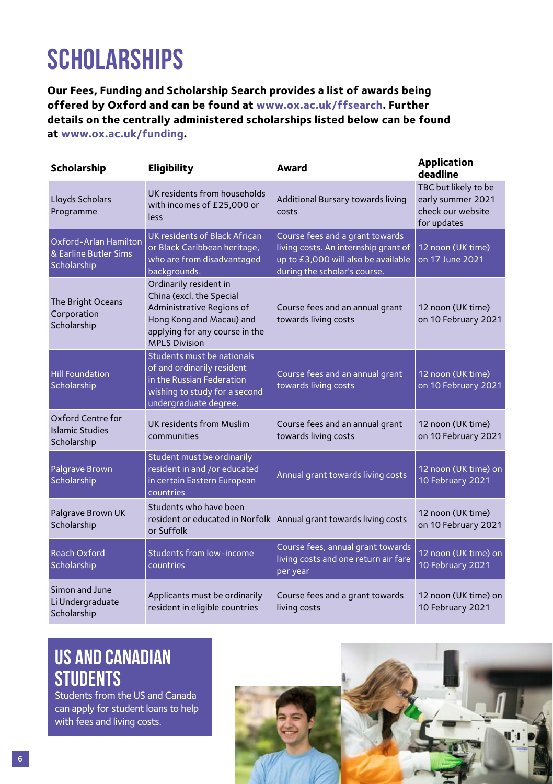## <span id="page-7-0"></span>**Scholarships**

**Our Fees, Funding and Scholarship Search provides a list of awards being offered by Oxford and can be found at [www.ox.ac.uk/ffsearch.](http://www.ox.ac.uk/ffsearch) Further details on the centrally administered scholarships listed below can be found at [www.ox.ac.uk/funding](http://www.ox.ac.uk/funding).**

| Scholarship                                                   | Eligibility                                                                                                                                                           | Award                                                                                                                                          | <b>Application</b><br>deadline                                                |
|---------------------------------------------------------------|-----------------------------------------------------------------------------------------------------------------------------------------------------------------------|------------------------------------------------------------------------------------------------------------------------------------------------|-------------------------------------------------------------------------------|
| Lloyds Scholars<br>Programme                                  | UK residents from households<br>with incomes of £25,000 or<br>less                                                                                                    | Additional Bursary towards living<br>costs                                                                                                     | TBC but likely to be<br>early summer 2021<br>check our website<br>for updates |
| Oxford-Arlan Hamilton<br>& Earline Butler Sims<br>Scholarship | UK residents of Black African<br>or Black Caribbean heritage,<br>who are from disadvantaged<br>backgrounds.                                                           | Course fees and a grant towards<br>living costs. An internship grant of<br>up to £3,000 will also be available<br>during the scholar's course. | 12 noon (UK time)<br>on 17 June 2021                                          |
| The Bright Oceans<br>Corporation<br>Scholarship               | Ordinarily resident in<br>China (excl. the Special<br>Administrative Regions of<br>Hong Kong and Macau) and<br>applying for any course in the<br><b>MPLS Division</b> | Course fees and an annual grant<br>towards living costs                                                                                        | 12 noon (UK time)<br>on 10 February 2021                                      |
| <b>Hill Foundation</b><br>Scholarship                         | Students must be nationals<br>of and ordinarily resident<br>in the Russian Federation<br>wishing to study for a second<br>undergraduate degree.                       | Course fees and an annual grant<br>towards living costs                                                                                        | 12 noon (UK time)<br>on 10 February 2021                                      |
| Oxford Centre for<br><b>Islamic Studies</b><br>Scholarship    | UK residents from Muslim<br>communities                                                                                                                               | Course fees and an annual grant<br>towards living costs                                                                                        | 12 noon (UK time)<br>on 10 February 2021                                      |
| Palgrave Brown<br>Scholarship                                 | Student must be ordinarily<br>resident in and /or educated<br>in certain Eastern European<br>countries                                                                | Annual grant towards living costs                                                                                                              | 12 noon (UK time) on<br>10 February 2021                                      |
| Palgrave Brown UK<br>Scholarship                              | Students who have been<br>or Suffolk                                                                                                                                  | resident or educated in Norfolk Annual grant towards living costs                                                                              | 12 noon (UK time)<br>on 10 February 2021                                      |
| Reach Oxford<br>Scholarship                                   | Students from low-income<br>countries                                                                                                                                 | Course fees, annual grant towards<br>living costs and one return air fare<br>per year                                                          | 12 noon (UK time) on<br>10 February 2021                                      |
| Simon and June<br>Li Undergraduate<br>Scholarship             | Applicants must be ordinarily<br>resident in eligible countries                                                                                                       | Course fees and a grant towards<br>living costs                                                                                                | 12 noon (UK time) on<br>10 February 2021                                      |

### **US AND CANADIAN STUDENTS**

Students from the US and Canada can apply for student loans to help with fees and living costs.

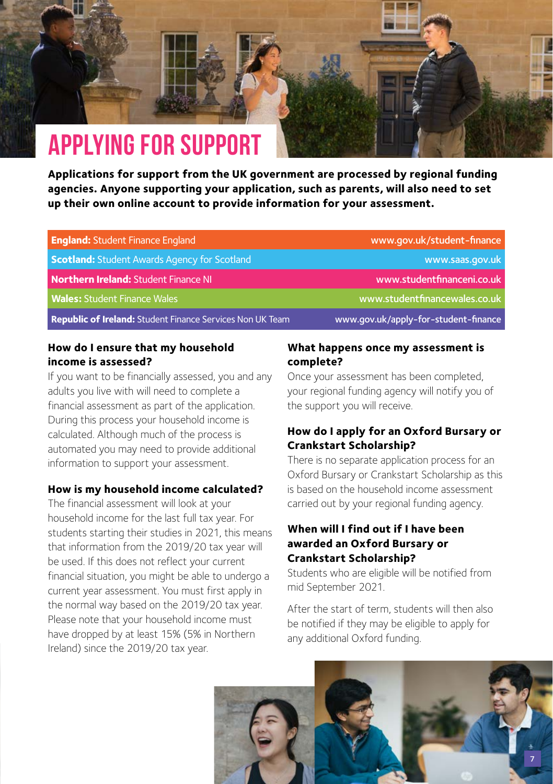## <span id="page-8-0"></span>**Applying for support**

**Applications for support from the UK government are processed by regional funding agencies. Anyone supporting your application, such as parents, will also need to set up their own online account to provide information for your assessment.** 

| <b>England: Student Finance England</b>                          | www.gov.uk/student-finance           |
|------------------------------------------------------------------|--------------------------------------|
| <b>Scotland: Student Awards Agency for Scotland</b>              | www.saas.gov.uk                      |
| <b>Northern Ireland: Student Finance NI</b>                      | www.studentfinanceni.co.uk           |
| <b>Wales: Student Finance Wales</b>                              | www.studentfinancewales.co.uk        |
| <b>Republic of Ireland:</b> Student Finance Services Non UK Team | www.gov.uk/apply-for-student-finance |

#### **How do I ensure that my household income is assessed?**

If you want to be financially assessed, you and any adults you live with will need to complete a financial assessment as part of the application. During this process your household income is calculated. Although much of the process is automated you may need to provide additional information to support your assessment.

#### **How is my household income calculated?**

The financial assessment will look at your household income for the last full tax year. For students starting their studies in 2021, this means that information from the 2019/20 tax year will be used. If this does not reflect your current financial situation, you might be able to undergo a current year assessment. You must first apply in the normal way based on the 2019/20 tax year. Please note that your household income must have dropped by at least 15% (5% in Northern Ireland) since the 2019/20 tax year.

#### **What happens once my assessment is complete?**

Once your assessment has been completed, your regional funding agency will notify you of the support you will receive.

#### **How do I apply for an Oxford Bursary or Crankstart Scholarship?**

There is no separate application process for an Oxford Bursary or Crankstart Scholarship as this is based on the household income assessment carried out by your regional funding agency.

#### **When will I find out if I have been awarded an Oxford Bursary or Crankstart Scholarship?**

Students who are eligible will be notified from mid September 2021.

After the start of term, students will then also be notified if they may be eligible to apply for any additional Oxford funding.

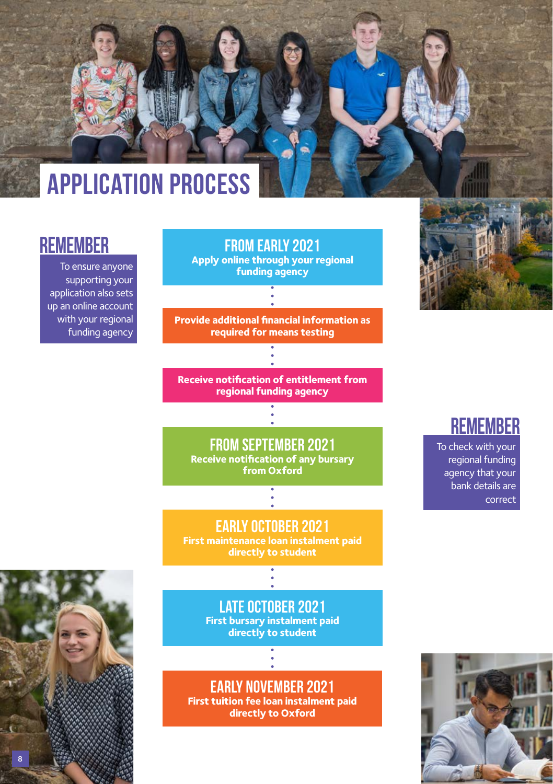## **Application Process**

### **remember**

To ensure anyone supporting your application also sets up an online account with your regional funding agency



**EARLY OCTOBER 2021 First maintenance loan instalment paid directly to student**

### **late october 2021**

**First bursary instalment paid directly to student**

**Early November 2021 First tuition fee loan instalment paid directly to Oxford**



### **remember**

To check with your regional funding agency that your bank details are correct



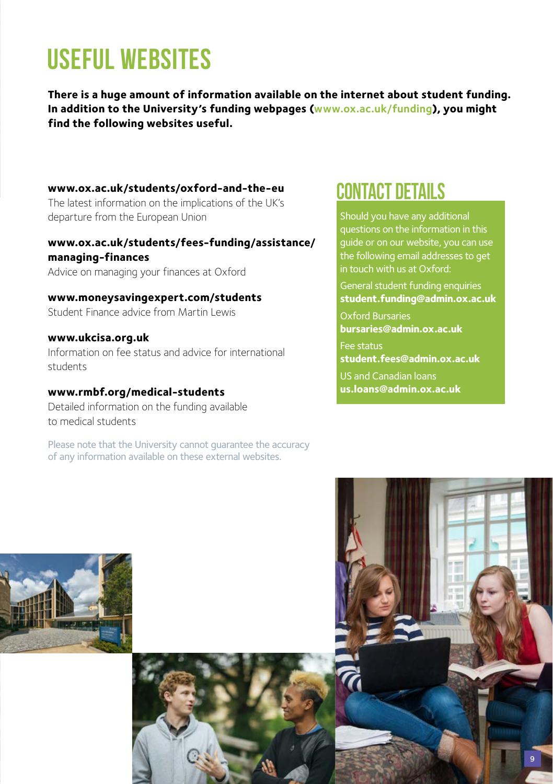## <span id="page-10-0"></span>**Useful Websites**

**There is a huge amount of information available on the internet about student funding. In addition to the University's funding webpages ([www.ox.ac.uk/funding](http://www.ox.ac.uk/funding)), you might find the following websites useful.**

**[www.ox.ac.uk/students/oxford-and-the-eu](http://www.ox.ac.uk/students/oxford-and-the-eu)** The latest information on the implications of the UK's departure from the European Union

#### **[www.ox.ac.uk/students/fees-funding/assistance/](http://www.ox.ac.uk/students/fees-funding/assistance/managing-finances) [managing-finances](http://www.ox.ac.uk/students/fees-funding/assistance/managing-finances)**

Advice on managing your finances at Oxford

**[www.moneysavingexpert.com/students](http://www.moneysavingexpert.com/students)** Student Finance advice from Martin Lewis

#### **[www.ukcisa.org.uk](http://www.ukcisa.org.uk)**

Information on fee status and advice for international students

### **[www.rmbf.org/medical-students](http://www.rmbf.org/medical-students)**

Detailed information on the funding available to medical students

Please note that the University cannot guarantee the accuracy of any information available on these external websites.

### **contact details**

Should you have any additional questions on the information in this guide or on our website, you can use the following email addresses to get in touch with us at Oxford:

General student funding enquiries **[student.funding@admin.ox.ac.uk](mailto:student.funding%40admin.ox.ac.uk%20?subject=)**

Oxford Bursaries **[bursaries@admin.ox.ac.uk](mailto:bursaries%40admin.ox.ac.uk%20?subject=)**  Fee status

**[student.fees@admin.ox.ac.uk](mailto:student.fees%40admin.ox.ac.uk?subject=)**

US and Canadian loans

**[us.loans@admin.ox.ac.uk](mailto:us.loans%40admin.ox.ac.uk?subject=)**